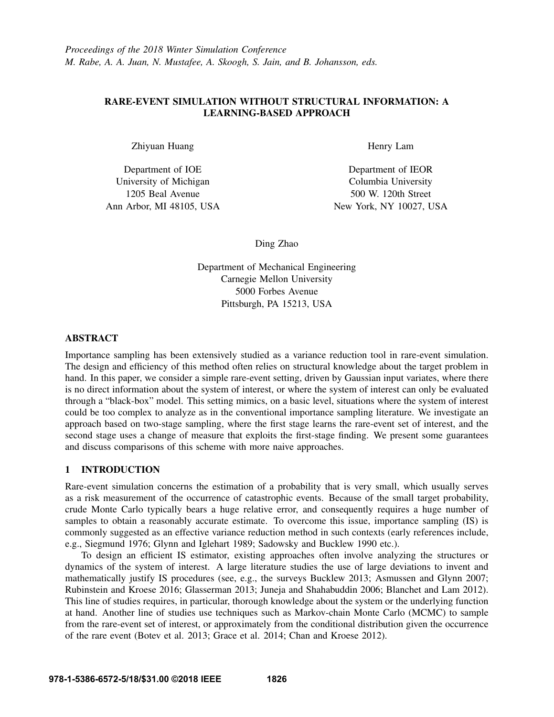# RARE-EVENT SIMULATION WITHOUT STRUCTURAL INFORMATION: A LEARNING-BASED APPROACH

Zhiyuan Huang

Department of IOE University of Michigan 1205 Beal Avenue Ann Arbor, MI 48105, USA Henry Lam

Department of IEOR Columbia University 500 W. 120th Street New York, NY 10027, USA

Ding Zhao

Department of Mechanical Engineering Carnegie Mellon University 5000 Forbes Avenue Pittsburgh, PA 15213, USA

# ABSTRACT

Importance sampling has been extensively studied as a variance reduction tool in rare-event simulation. The design and efficiency of this method often relies on structural knowledge about the target problem in hand. In this paper, we consider a simple rare-event setting, driven by Gaussian input variates, where there is no direct information about the system of interest, or where the system of interest can only be evaluated through a "black-box" model. This setting mimics, on a basic level, situations where the system of interest could be too complex to analyze as in the conventional importance sampling literature. We investigate an approach based on two-stage sampling, where the first stage learns the rare-event set of interest, and the second stage uses a change of measure that exploits the first-stage finding. We present some guarantees and discuss comparisons of this scheme with more naive approaches.

# 1 INTRODUCTION

Rare-event simulation concerns the estimation of a probability that is very small, which usually serves as a risk measurement of the occurrence of catastrophic events. Because of the small target probability, crude Monte Carlo typically bears a huge relative error, and consequently requires a huge number of samples to obtain a reasonably accurate estimate. To overcome this issue, importance sampling (IS) is commonly suggested as an effective variance reduction method in such contexts (early references include, e.g., Siegmund 1976; Glynn and Iglehart 1989; Sadowsky and Bucklew 1990 etc.).

To design an efficient IS estimator, existing approaches often involve analyzing the structures or dynamics of the system of interest. A large literature studies the use of large deviations to invent and mathematically justify IS procedures (see, e.g., the surveys Bucklew 2013; Asmussen and Glynn 2007; Rubinstein and Kroese 2016; Glasserman 2013; Juneja and Shahabuddin 2006; Blanchet and Lam 2012). This line of studies requires, in particular, thorough knowledge about the system or the underlying function at hand. Another line of studies use techniques such as Markov-chain Monte Carlo (MCMC) to sample from the rare-event set of interest, or approximately from the conditional distribution given the occurrence of the rare event (Botev et al. 2013; Grace et al. 2014; Chan and Kroese 2012).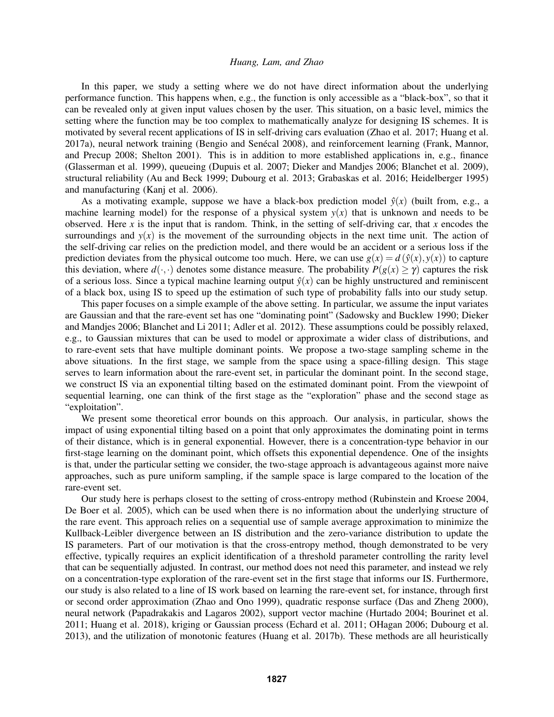In this paper, we study a setting where we do not have direct information about the underlying performance function. This happens when, e.g., the function is only accessible as a "black-box", so that it can be revealed only at given input values chosen by the user. This situation, on a basic level, mimics the setting where the function may be too complex to mathematically analyze for designing IS schemes. It is motivated by several recent applications of IS in self-driving cars evaluation (Zhao et al. 2017; Huang et al. 2017a), neural network training (Bengio and Senécal 2008), and reinforcement learning (Frank, Mannor, and Precup 2008; Shelton 2001). This is in addition to more established applications in, e.g., finance (Glasserman et al. 1999), queueing (Dupuis et al. 2007; Dieker and Mandjes 2006; Blanchet et al. 2009), structural reliability (Au and Beck 1999; Dubourg et al. 2013; Grabaskas et al. 2016; Heidelberger 1995) and manufacturing (Kanj et al. 2006).

As a motivating example, suppose we have a black-box prediction model  $\hat{y}(x)$  (built from, e.g., a machine learning model) for the response of a physical system  $y(x)$  that is unknown and needs to be observed. Here *x* is the input that is random. Think, in the setting of self-driving car, that *x* encodes the surroundings and  $y(x)$  is the movement of the surrounding objects in the next time unit. The action of the self-driving car relies on the prediction model, and there would be an accident or a serious loss if the prediction deviates from the physical outcome too much. Here, we can use  $g(x) = d(\hat{y}(x), y(x))$  to capture this deviation, where  $d(\cdot, \cdot)$  denotes some distance measure. The probability  $P(g(x) > \gamma)$  captures the risk of a serious loss. Since a typical machine learning output  $\hat{y}(x)$  can be highly unstructured and reminiscent of a black box, using IS to speed up the estimation of such type of probability falls into our study setup.

This paper focuses on a simple example of the above setting. In particular, we assume the input variates are Gaussian and that the rare-event set has one "dominating point" (Sadowsky and Bucklew 1990; Dieker and Mandjes 2006; Blanchet and Li 2011; Adler et al. 2012). These assumptions could be possibly relaxed, e.g., to Gaussian mixtures that can be used to model or approximate a wider class of distributions, and to rare-event sets that have multiple dominant points. We propose a two-stage sampling scheme in the above situations. In the first stage, we sample from the space using a space-filling design. This stage serves to learn information about the rare-event set, in particular the dominant point. In the second stage, we construct IS via an exponential tilting based on the estimated dominant point. From the viewpoint of sequential learning, one can think of the first stage as the "exploration" phase and the second stage as "exploitation".

We present some theoretical error bounds on this approach. Our analysis, in particular, shows the impact of using exponential tilting based on a point that only approximates the dominating point in terms of their distance, which is in general exponential. However, there is a concentration-type behavior in our first-stage learning on the dominant point, which offsets this exponential dependence. One of the insights is that, under the particular setting we consider, the two-stage approach is advantageous against more naive approaches, such as pure uniform sampling, if the sample space is large compared to the location of the rare-event set.

Our study here is perhaps closest to the setting of cross-entropy method (Rubinstein and Kroese 2004, De Boer et al. 2005), which can be used when there is no information about the underlying structure of the rare event. This approach relies on a sequential use of sample average approximation to minimize the Kullback-Leibler divergence between an IS distribution and the zero-variance distribution to update the IS parameters. Part of our motivation is that the cross-entropy method, though demonstrated to be very effective, typically requires an explicit identification of a threshold parameter controlling the rarity level that can be sequentially adjusted. In contrast, our method does not need this parameter, and instead we rely on a concentration-type exploration of the rare-event set in the first stage that informs our IS. Furthermore, our study is also related to a line of IS work based on learning the rare-event set, for instance, through first or second order approximation (Zhao and Ono 1999), quadratic response surface (Das and Zheng 2000), neural network (Papadrakakis and Lagaros 2002), support vector machine (Hurtado 2004; Bourinet et al. 2011; Huang et al. 2018), kriging or Gaussian process (Echard et al. 2011; OHagan 2006; Dubourg et al. 2013), and the utilization of monotonic features (Huang et al. 2017b). These methods are all heuristically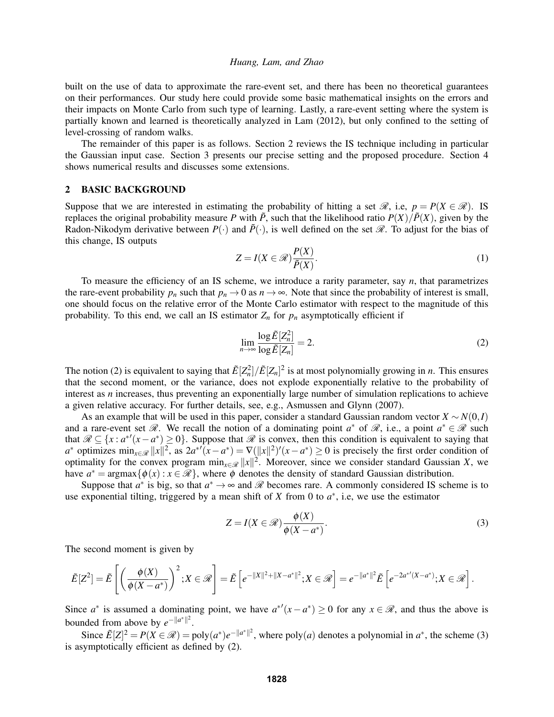built on the use of data to approximate the rare-event set, and there has been no theoretical guarantees on their performances. Our study here could provide some basic mathematical insights on the errors and their impacts on Monte Carlo from such type of learning. Lastly, a rare-event setting where the system is partially known and learned is theoretically analyzed in Lam (2012), but only confined to the setting of level-crossing of random walks.

The remainder of this paper is as follows. Section 2 reviews the IS technique including in particular the Gaussian input case. Section 3 presents our precise setting and the proposed procedure. Section 4 shows numerical results and discusses some extensions.

## 2 BASIC BACKGROUND

Suppose that we are interested in estimating the probability of hitting a set  $\mathcal{R}$ , i.e,  $p = P(X \in \mathcal{R})$ . IS replaces the original probability measure *P* with  $\tilde{P}$ , such that the likelihood ratio  $P(X)/\tilde{P}(X)$ , given by the Radon-Nikodym derivative between  $P(\cdot)$  and  $\tilde{P}(\cdot)$ , is well defined on the set  $\mathcal R$ . To adjust for the bias of this change, IS outputs

$$
Z = I(X \in \mathcal{R}) \frac{P(X)}{\tilde{P}(X)}.
$$
\n(1)

To measure the efficiency of an IS scheme, we introduce a rarity parameter, say *n*, that parametrizes the rare-event probability  $p_n$  such that  $p_n \to 0$  as  $n \to \infty$ . Note that since the probability of interest is small, one should focus on the relative error of the Monte Carlo estimator with respect to the magnitude of this probability. To this end, we call an IS estimator  $Z_n$  for  $p_n$  asymptotically efficient if

$$
\lim_{n \to \infty} \frac{\log \tilde{E}[Z_n^2]}{\log \tilde{E}[Z_n]} = 2. \tag{2}
$$

The notion (2) is equivalent to saying that  $\tilde{E}[Z_n^2]/\tilde{E}[Z_n]^2$  is at most polynomially growing in *n*. This ensures that the second moment, or the variance, does not explode exponentially relative to the probability of interest as *n* increases, thus preventing an exponentially large number of simulation replications to achieve a given relative accuracy. For further details, see, e.g., Asmussen and Glynn (2007).

As an example that will be used in this paper, consider a standard Gaussian random vector *X* ∼ *N*(0,*I*) and a rare-event set  $\mathcal{R}$ . We recall the notion of a dominating point  $a^*$  of  $\mathcal{R}$ , i.e., a point  $a^* \in \mathcal{R}$  such that  $\mathscr{R} \subseteq \{x : a^{*'}(x-a^*) \ge 0\}$ . Suppose that  $\mathscr{R}$  is convex, then this condition is equivalent to saying that  $a^*$  optimizes  $\min_{x \in \mathcal{R}} ||x||^2$ , as  $2a^{*'}(x - a^*) = \nabla (||x||^2)'(x - a^*) \ge 0$  is precisely the first order condition of optimality for the convex program  $\min_{x \in \mathcal{R}} ||x||^2$ . Moreover, since we consider standard Gaussian *X*, we have  $a^* = \argmax{\{\phi(x) : x \in \mathcal{R}\}}$ , where  $\phi$  denotes the density of standard Gaussian distribution.

Suppose that  $a^*$  is big, so that  $a^* \to \infty$  and  $\mathscr R$  becomes rare. A commonly considered IS scheme is to use exponential tilting, triggered by a mean shift of  $X$  from 0 to  $a^*$ , i.e, we use the estimator

$$
Z = I(X \in \mathcal{R}) \frac{\phi(X)}{\phi(X - a^*)}.
$$
 (3)

The second moment is given by

$$
\tilde{E}[Z^2] = \tilde{E}\left[\left(\frac{\phi(X)}{\phi(X-a^*)}\right)^2; X \in \mathscr{R}\right] = \tilde{E}\left[e^{-\|X\|^2 + \|X-a^*\|^2}; X \in \mathscr{R}\right] = e^{-\|a^*\|^2} \tilde{E}\left[e^{-2a^{*'}(X-a^*)}; X \in \mathscr{R}\right].
$$

Since  $a^*$  is assumed a dominating point, we have  $a^{*'}(x-a^*) \ge 0$  for any  $x \in \mathcal{R}$ , and thus the above is bounded from above by  $e^{-\|a^*\|^2}$ .

Since  $\tilde{E}[Z]^2 = P(X \in \mathcal{R}) = \text{poly}(a^*)e^{-\|a^*\|^2}$ , where  $\text{poly}(a)$  denotes a polynomial in  $a^*$ , the scheme (3) is asymptotically efficient as defined by (2).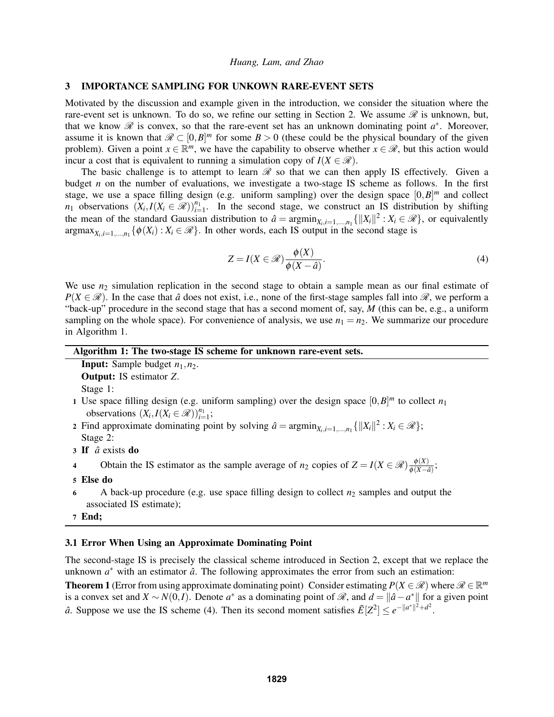### 3 IMPORTANCE SAMPLING FOR UNKOWN RARE-EVENT SETS

Motivated by the discussion and example given in the introduction, we consider the situation where the rare-event set is unknown. To do so, we refine our setting in Section 2. We assume  $\mathscr R$  is unknown, but, that we know  $\mathscr R$  is convex, so that the rare-event set has an unknown dominating point  $a^*$ . Moreover, assume it is known that  $\mathcal{R} \subset [0, B]^m$  for some  $B > 0$  (these could be the physical boundary of the given problem). Given a point  $x \in \mathbb{R}^m$ , we have the capability to observe whether  $x \in \mathcal{R}$ , but this action would incur a cost that is equivalent to running a simulation copy of  $I(X \in \mathcal{R})$ .

The basic challenge is to attempt to learn  $\mathscr R$  so that we can then apply IS effectively. Given a budget *n* on the number of evaluations, we investigate a two-stage IS scheme as follows. In the first stage, we use a space filling design (e.g. uniform sampling) over the design space  $[0, B]^m$  and collect *n*<sub>1</sub> observations  $(X_i, I(X_i \in \mathcal{R}))_{i=1}^{n_1}$ . In the second stage, we construct an IS distribution by shifting the mean of the standard Gaussian distribution to  $\hat{a} = \operatorname{argmin}_{X_i, i=1,\dots,n_1} \{ ||X_i||^2 : X_i \in \mathcal{R} \}$ , or equivalently  $\argmax_{X_i,i=1,\dots,n_1} \{\phi(X_i): X_i \in \mathcal{R}\}\.$  In other words, each IS output in the second stage is

$$
Z = I(X \in \mathcal{R}) \frac{\phi(X)}{\phi(X - \hat{a})}.
$$
\n(4)

We use  $n_2$  simulation replication in the second stage to obtain a sample mean as our final estimate of  $P(X \in \mathcal{R})$ . In the case that  $\hat{a}$  does not exist, i.e., none of the first-stage samples fall into  $\mathcal{R}$ , we perform a "back-up" procedure in the second stage that has a second moment of, say, *M* (this can be, e.g., a uniform sampling on the whole space). For convenience of analysis, we use  $n_1 = n_2$ . We summarize our procedure in Algorithm 1.

| Algorithm 1: The two-stage IS scheme for unknown rare-event sets. |  |  |  |  |  |  |  |  |
|-------------------------------------------------------------------|--|--|--|--|--|--|--|--|
|-------------------------------------------------------------------|--|--|--|--|--|--|--|--|

**Input:** Sample budget  $n_1$ ,  $n_2$ . Output: IS estimator *Z*. Stage 1:

- 1 Use space filling design (e.g. uniform sampling) over the design space  $[0, B]^m$  to collect  $n_1$ observations  $(X_i, I(X_i \in \mathcal{R}))_{i=1}^{n_1}$ ;
- 2 Find approximate dominating point by solving  $\hat{a} = \operatorname{argmin}_{X_i, i=1,\dots,n_1} \{ ||X_i||^2 : X_i \in \mathcal{R} \};$ Stage 2:
- 3 If *a*ˆ exists do
- 4 Obtain the IS estimator as the sample average of  $n_2$  copies of  $Z = I(X \in \mathcal{R}) \frac{\phi(X)}{\phi(X \epsilon)}$  $\frac{\varphi(\Lambda)}{\phi(X-\hat{a})}$ ;
- 5 Else do
- 6 A back-up procedure (e.g. use space filling design to collect  $n_2$  samples and output the associated IS estimate);
- 7 End;

## 3.1 Error When Using an Approximate Dominating Point

The second-stage IS is precisely the classical scheme introduced in Section 2, except that we replace the unknown  $a^*$  with an estimator  $\hat{a}$ . The following approximates the error from such an estimation:

**Theorem 1** (Error from using approximate dominating point) Consider estimating  $P(X \in \mathcal{R})$  where  $\mathcal{R} \in \mathbb{R}^m$ is a convex set and  $X \sim N(0, I)$ . Denote  $a^*$  as a dominating point of  $\Re$ , and  $d = \|\hat{a} - a^*\|$  for a given point *a*̂. Suppose we use the IS scheme (4). Then its second moment satisfies  $\tilde{E}[Z^2] \le e^{-||a^*||^2 + d^2}$ .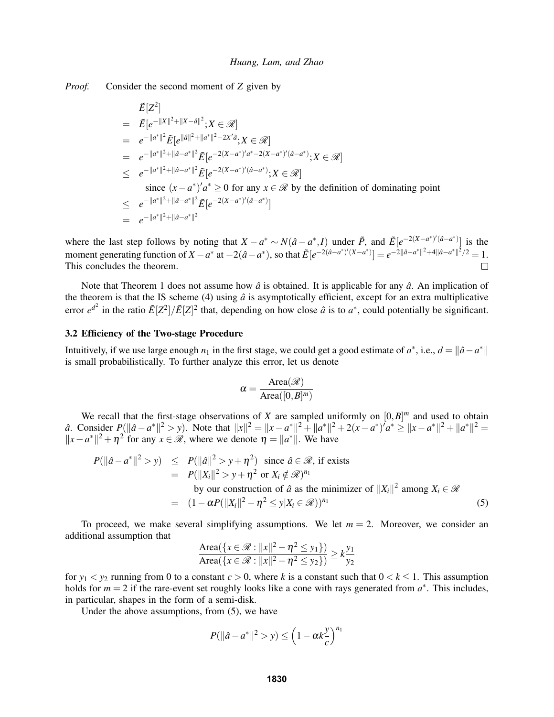*Proof.* Consider the second moment of *Z* given by

$$
\tilde{E}[Z^2] \n= \tilde{E}[e^{-\|X\|^2 + \|X-a\|^2}; X \in \mathcal{R}] \n= e^{-\|a^*\|^2} \tilde{E}[e^{\|\hat{a}\|^2 + \|a^*\|^2 - 2X'\hat{a}}; X \in \mathcal{R}] \n= e^{-\|a^*\|^2 + \|\hat{a}-a^*\|^2} \tilde{E}[e^{-2(X-a^*)'a^*-2(X-a^*)'(\hat{a}-a^*)}; X \in \mathcal{R}] \n\le e^{-\|a^*\|^2 + \|\hat{a}-a^*\|^2} \tilde{E}[e^{-2(X-a^*)'(\hat{a}-a^*)}; X \in \mathcal{R}] \nsince  $(x-a^*)'a^* \ge 0$  for any  $x \in \mathcal{R}$  by the definition of dominating point   
\n $\le e^{-\|a^*\|^2 + \|\hat{a}-a^*\|^2} \tilde{E}[e^{-2(X-a^*)'(\hat{a}-a^*)}] \n= e^{-\|a^*\|^2 + \|\hat{a}-a^*\|^2}$
$$

where the last step follows by noting that  $X - a^* \sim N(\hat{a} - a^*, I)$  under  $\tilde{P}$ , and  $\tilde{E}[e^{-2(X - a^*)/(\hat{a} - a^*)}]$  is the moment generating function of  $X - a^*$  at  $-2(\hat{a} - a^*)$ , so that  $\tilde{E}[e^{-2(\hat{a} - a^*)'(X - a^*)}] = e^{-2||\hat{a} - a^*||^2 + 4||\hat{a} - a^*||^2/2} = 1$ . This concludes the theorem.  $\Box$ 

Note that Theorem 1 does not assume how  $\hat{a}$  is obtained. It is applicable for any  $\hat{a}$ . An implication of the theorem is that the IS scheme (4) using  $\hat{a}$  is asymptotically efficient, except for an extra multiplicative error  $e^{d^2}$  in the ratio  $\tilde{E}[Z^2]/\tilde{E}[Z]^2$  that, depending on how close  $\hat{a}$  is to  $a^*$ , could potentially be significant.

## 3.2 Efficiency of the Two-stage Procedure

Intuitively, if we use large enough  $n_1$  in the first stage, we could get a good estimate of  $a^*$ , i.e.,  $d = ||\hat{a} - a^*||$ is small probabilistically. To further analyze this error, let us denote

$$
\alpha = \frac{\text{Area}(\mathscr{R})}{\text{Area}([0,B]^m)}
$$

We recall that the first-stage observations of *X* are sampled uniformly on  $[0, B]^m$  and used to obtain *a*̂. Consider  $P(||a - a^*||^2 > y)$ . Note that  $||x||^2 = ||x - a^*||^2 + ||a^*||^2 + 2(x - a^*)^7 a^* \ge ||x - a^*||^2 + ||a^*||^2 =$  $||x - a^*||^2 + \eta^2$  for any *x* ∈  $\Re$ , where we denote  $\eta = ||a^*||$ . We have

$$
P(||\hat{a} - a^*||^2 > y) \le P(||\hat{a}||^2 > y + \eta^2) \text{ since } \hat{a} \in \mathcal{R}, \text{ if exists}
$$
  
\n
$$
= P(||X_i||^2 > y + \eta^2 \text{ or } X_i \notin \mathcal{R})^{n_1}
$$
  
\nby our construction of  $\hat{a}$  as the minimizer of  $||X_i||^2$  among  $X_i \in \mathcal{R}$   
\n
$$
= (1 - \alpha P(||X_i||^2 - \eta^2 \le y | X_i \in \mathcal{R}))^{n_1}
$$
\n(5)

To proceed, we make several simplifying assumptions. We let  $m = 2$ . Moreover, we consider an additional assumption that

$$
\frac{\text{Area}(\{x \in \mathcal{R} : ||x||^2 - \eta^2 \le y_1\})}{\text{Area}(\{x \in \mathcal{R} : ||x||^2 - \eta^2 \le y_2\})} \ge k \frac{y_1}{y_2}
$$

for  $y_1 < y_2$  running from 0 to a constant  $c > 0$ , where k is a constant such that  $0 < k \le 1$ . This assumption holds for  $m = 2$  if the rare-event set roughly looks like a cone with rays generated from  $a^*$ . This includes, in particular, shapes in the form of a semi-disk.

Under the above assumptions, from (5), we have

$$
P(||\hat{a} - a^*||^2 > y) \le \left(1 - \alpha k \frac{y}{c}\right)^{n_1}
$$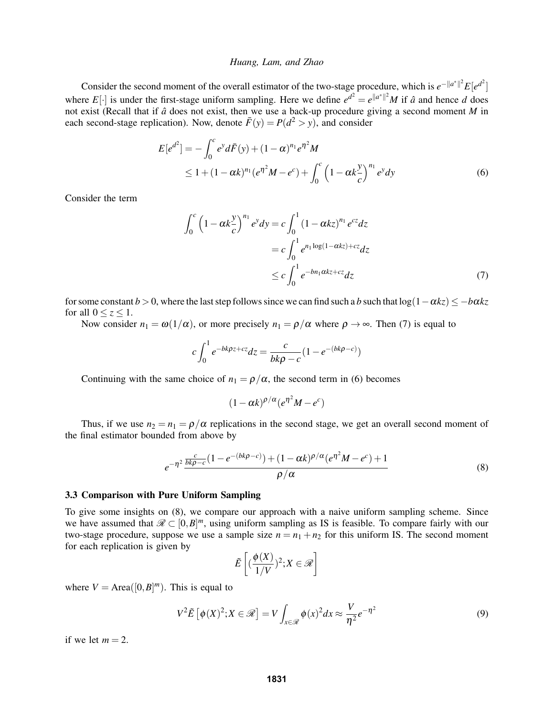Consider the second moment of the overall estimator of the two-stage procedure, which is  $e^{-\|a^*\|^2}E[e^{d^2}]$ where *E*[ $\cdot$ ] is under the first-stage uniform sampling. Here we define  $e^{d^2} = e^{||a^*||^2} M$  if  $\hat{a}$  and hence *d* does not exist (Recall that if  $\hat{a}$  does not exist, then we use a back-up procedure giving a second moment *M* in each second-stage replication). Now, denote  $\bar{F}(y) = P(d^2 > y)$ , and consider

$$
E[e^{d^2}] = -\int_0^c e^y d\bar{F}(y) + (1 - \alpha)^{n_1} e^{\eta^2} M
$$
  
\n
$$
\leq 1 + (1 - \alpha k)^{n_1} (e^{\eta^2} M - e^c) + \int_0^c \left(1 - \alpha k \frac{y}{c}\right)^{n_1} e^y dy
$$
\n(6)

Consider the term

$$
\int_0^c \left(1 - \alpha k \frac{y}{c}\right)^{n_1} e^y dy = c \int_0^1 \left(1 - \alpha k z\right)^{n_1} e^{cz} dz
$$

$$
= c \int_0^1 e^{n_1 \log(1 - \alpha k z) + cz} dz
$$

$$
\leq c \int_0^1 e^{-bn_1 \alpha k z + cz} dz
$$
(7)

for some constant  $b > 0$ , where the last step follows since we can find such a *b* such that  $\log(1 - \alpha kz) \leq -b\alpha kz$ for all  $0 \le z \le 1$ .

Now consider  $n_1 = \omega(1/\alpha)$ , or more precisely  $n_1 = \rho/\alpha$  where  $\rho \to \infty$ . Then (7) is equal to

$$
c\int_0^1 e^{-bk\rho z + cz} dz = \frac{c}{bk\rho - c} (1 - e^{-(bk\rho - c)})
$$

Continuing with the same choice of  $n_1 = \rho/\alpha$ , the second term in (6) becomes

$$
(1-\alpha k)^{\rho/\alpha}(e^{\eta^2}M-e^c)
$$

Thus, if we use  $n_2 = n_1 = \rho/\alpha$  replications in the second stage, we get an overall second moment of the final estimator bounded from above by

$$
e^{-\eta^2} \frac{\frac{c}{bk\rho - c} \left(1 - e^{-(bk\rho - c)}\right) + (1 - \alpha k)^{\rho/\alpha} (e^{\eta^2} M - e^c) + 1}{\rho/\alpha} \tag{8}
$$

### 3.3 Comparison with Pure Uniform Sampling

To give some insights on (8), we compare our approach with a naive uniform sampling scheme. Since we have assumed that  $\mathscr{R} \subset [0, B]^m$ , using uniform sampling as IS is feasible. To compare fairly with our two-stage procedure, suppose we use a sample size  $n = n_1 + n_2$  for this uniform IS. The second moment for each replication is given by

$$
\tilde{E}\left[ (\frac{\phi(X)}{1/V})^2; X \in \mathscr{R} \right]
$$

where  $V = \text{Area}([0, B]^m)$ . This is equal to

$$
V^{2}\tilde{E}\left[\phi(X)^{2};X\in\mathscr{R}\right]=V\int_{x\in\mathscr{R}}\phi(x)^{2}dx\approx\frac{V}{\eta^{2}}e^{-\eta^{2}}\tag{9}
$$

if we let  $m = 2$ .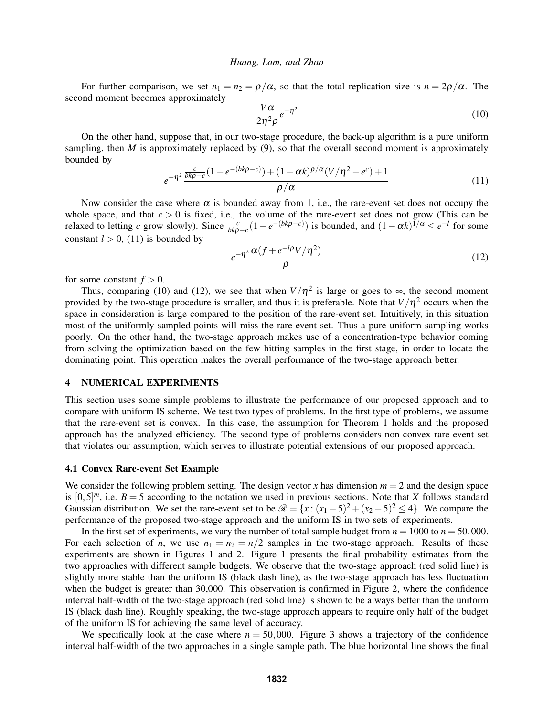For further comparison, we set  $n_1 = n_2 = \rho/\alpha$ , so that the total replication size is  $n = 2\rho/\alpha$ . The second moment becomes approximately

$$
\frac{V\alpha}{2\eta^2\rho}e^{-\eta^2} \tag{10}
$$

On the other hand, suppose that, in our two-stage procedure, the back-up algorithm is a pure uniform sampling, then  $M$  is approximately replaced by  $(9)$ , so that the overall second moment is approximately bounded by

$$
e^{-\eta^2} \frac{\frac{c}{bk\rho - c} (1 - e^{-(bk\rho - c)}) + (1 - \alpha k)^{\rho/\alpha} (V/\eta^2 - e^c) + 1}{\rho/\alpha}
$$
\n(11)

Now consider the case where  $\alpha$  is bounded away from 1, i.e., the rare-event set does not occupy the whole space, and that  $c > 0$  is fixed, i.e., the volume of the rare-event set does not grow (This can be relaxed to letting *c* grow slowly). Since  $\frac{c}{bk\rho - c}(1 - e^{-(bk\rho - c)})$  is bounded, and  $(1 - \alpha k)^{1/\alpha} \le e^{-l}$  for some constant  $l > 0$ , (11) is bounded by

$$
e^{-\eta^2} \frac{\alpha (f + e^{-l\rho} V/\eta^2)}{\rho} \tag{12}
$$

for some constant  $f > 0$ .

Thus, comparing (10) and (12), we see that when  $V/\eta^2$  is large or goes to  $\infty$ , the second moment provided by the two-stage procedure is smaller, and thus it is preferable. Note that  $V/\eta^2$  occurs when the space in consideration is large compared to the position of the rare-event set. Intuitively, in this situation most of the uniformly sampled points will miss the rare-event set. Thus a pure uniform sampling works poorly. On the other hand, the two-stage approach makes use of a concentration-type behavior coming from solving the optimization based on the few hitting samples in the first stage, in order to locate the dominating point. This operation makes the overall performance of the two-stage approach better.

## 4 NUMERICAL EXPERIMENTS

This section uses some simple problems to illustrate the performance of our proposed approach and to compare with uniform IS scheme. We test two types of problems. In the first type of problems, we assume that the rare-event set is convex. In this case, the assumption for Theorem 1 holds and the proposed approach has the analyzed efficiency. The second type of problems considers non-convex rare-event set that violates our assumption, which serves to illustrate potential extensions of our proposed approach.

### 4.1 Convex Rare-event Set Example

We consider the following problem setting. The design vector *x* has dimension  $m = 2$  and the design space is  $[0,5]^m$ , i.e.  $B = 5$  according to the notation we used in previous sections. Note that *X* follows standard Gaussian distribution. We set the rare-event set to be  $\mathcal{R} = \{x : (x_1 - 5)^2 + (x_2 - 5)^2 \le 4\}$ . We compare the performance of the proposed two-stage approach and the uniform IS in two sets of experiments.

In the first set of experiments, we vary the number of total sample budget from  $n = 1000$  to  $n = 50,000$ . For each selection of *n*, we use  $n_1 = n_2 = n/2$  samples in the two-stage approach. Results of these experiments are shown in Figures 1 and 2. Figure 1 presents the final probability estimates from the two approaches with different sample budgets. We observe that the two-stage approach (red solid line) is slightly more stable than the uniform IS (black dash line), as the two-stage approach has less fluctuation when the budget is greater than 30,000. This observation is confirmed in Figure 2, where the confidence interval half-width of the two-stage approach (red solid line) is shown to be always better than the uniform IS (black dash line). Roughly speaking, the two-stage approach appears to require only half of the budget of the uniform IS for achieving the same level of accuracy.

We specifically look at the case where  $n = 50,000$ . Figure 3 shows a trajectory of the confidence interval half-width of the two approaches in a single sample path. The blue horizontal line shows the final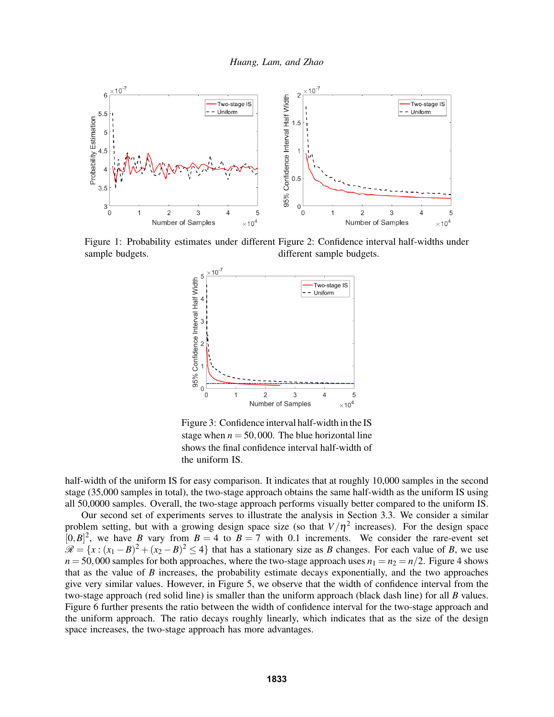

Figure 1: Probability estimates under different Figure 2: Confidence interval half-widths under sample budgets. different sample budgets.



Figure 3: Confidence interval half-width in the IS stage when  $n = 50,000$ . The blue horizontal line shows the final confidence interval half-width of the uniform IS.

half-width of the uniform IS for easy comparison. It indicates that at roughly 10,000 samples in the second stage (35,000 samples in total), the two-stage approach obtains the same half-width as the uniform IS using all 50,0000 samples. Overall, the two-stage approach performs visually better compared to the uniform IS.

Our second set of experiments serves to illustrate the analysis in Section 3.3. We consider a similar problem setting, but with a growing design space size (so that  $V/\eta^2$  increases). For the design space  $[0, B]^2$ , we have *B* vary from  $B = 4$  to  $B = 7$  with 0.1 increments. We consider the rare-event set  $\mathscr{R} = \{x : (x_1 - B)^2 + (x_2 - B)^2 \le 4\}$  that has a stationary size as *B* changes. For each value of *B*, we use  $n = 50,000$  samples for both approaches, where the two-stage approach uses  $n_1 = n_2 = n/2$ . Figure 4 shows that as the value of *B* increases, the probability estimate decays exponentially, and the two approaches give very similar values. However, in Figure 5, we observe that the width of confidence interval from the two-stage approach (red solid line) is smaller than the uniform approach (black dash line) for all *B* values. Figure 6 further presents the ratio between the width of confidence interval for the two-stage approach and the uniform approach. The ratio decays roughly linearly, which indicates that as the size of the design space increases, the two-stage approach has more advantages.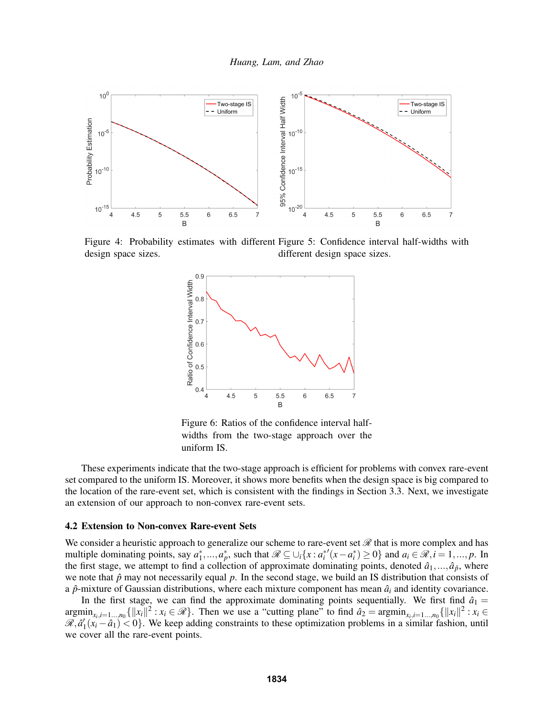

Figure 4: Probability estimates with different Figure 5: Confidence interval half-widths with design space sizes. different design space sizes.



Figure 6: Ratios of the confidence interval halfwidths from the two-stage approach over the uniform IS.

These experiments indicate that the two-stage approach is efficient for problems with convex rare-event set compared to the uniform IS. Moreover, it shows more benefits when the design space is big compared to the location of the rare-event set, which is consistent with the findings in Section 3.3. Next, we investigate an extension of our approach to non-convex rare-event sets.

#### 4.2 Extension to Non-convex Rare-event Sets

We consider a heuristic approach to generalize our scheme to rare-event set  $\mathcal{R}$  that is more complex and has multiple dominating points, say  $a_1^*,...,a_p^*$ , such that  $\mathscr{R} \subseteq \cup_i \{x : a_i^{*'}(x-a_i^*) \ge 0\}$  and  $a_i \in \mathscr{R}, i = 1,...,p$ . In the first stage, we attempt to find a collection of approximate dominating points, denoted  $\hat{a}_1, \ldots, \hat{a}_{\hat{p}}$ , where we note that  $\hat{p}$  may not necessarily equal  $p$ . In the second stage, we build an IS distribution that consists of a  $\hat{p}$ -mixture of Gaussian distributions, where each mixture component has mean  $\hat{a}_i$  and identity covariance.

In the first stage, we can find the approximate dominating points sequentially. We first find  $\hat{a}_1 =$  $\operatorname{argmin}_{x_i, i=1\ldots,n_0} \{||x_i||^2 : x_i \in \mathcal{R}\}.$  Then we use a "cutting plane" to find  $\hat{a}_2 = \operatorname{argmin}_{x_i, i=1\ldots,n_0} \{||x_i||^2 : x_i \in \mathcal{R}\}.$  $\mathscr{R}, \hat{a}'_1(x_i - \hat{a}_1) < 0$ . We keep adding constraints to these optimization problems in a similar fashion, until we cover all the rare-event points.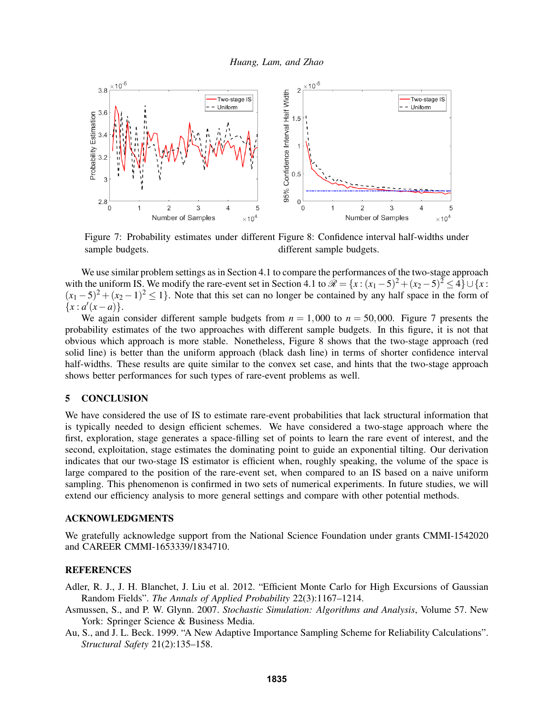

Figure 7: Probability estimates under different Figure 8: Confidence interval half-widths under sample budgets. different sample budgets.

We use similar problem settings as in Section 4.1 to compare the performances of the two-stage approach with the uniform IS. We modify the rare-event set in Section 4.1 to  $\mathcal{R} = \{x : (x_1 - 5)^2 + (x_2 - 5)^2 \le 4\} \cup \{x : (x_1 - 5)^2 + (x_2 - 5)^2 \le 4\}$  $(x_1-5)^2 + (x_2-1)^2 \le 1$ . Note that this set can no longer be contained by any half space in the form of  ${x : a'(x - a)}$ .

We again consider different sample budgets from  $n = 1,000$  to  $n = 50,000$ . Figure 7 presents the probability estimates of the two approaches with different sample budgets. In this figure, it is not that obvious which approach is more stable. Nonetheless, Figure 8 shows that the two-stage approach (red solid line) is better than the uniform approach (black dash line) in terms of shorter confidence interval half-widths. These results are quite similar to the convex set case, and hints that the two-stage approach shows better performances for such types of rare-event problems as well.

## 5 CONCLUSION

We have considered the use of IS to estimate rare-event probabilities that lack structural information that is typically needed to design efficient schemes. We have considered a two-stage approach where the first, exploration, stage generates a space-filling set of points to learn the rare event of interest, and the second, exploitation, stage estimates the dominating point to guide an exponential tilting. Our derivation indicates that our two-stage IS estimator is efficient when, roughly speaking, the volume of the space is large compared to the position of the rare-event set, when compared to an IS based on a naive uniform sampling. This phenomenon is confirmed in two sets of numerical experiments. In future studies, we will extend our efficiency analysis to more general settings and compare with other potential methods.

### ACKNOWLEDGMENTS

We gratefully acknowledge support from the National Science Foundation under grants CMMI-1542020 and CAREER CMMI-1653339/1834710.

## **REFERENCES**

- Adler, R. J., J. H. Blanchet, J. Liu et al. 2012. "Efficient Monte Carlo for High Excursions of Gaussian Random Fields". *The Annals of Applied Probability* 22(3):1167–1214.
- Asmussen, S., and P. W. Glynn. 2007. *Stochastic Simulation: Algorithms and Analysis*, Volume 57. New York: Springer Science & Business Media.
- Au, S., and J. L. Beck. 1999. "A New Adaptive Importance Sampling Scheme for Reliability Calculations". *Structural Safety* 21(2):135–158.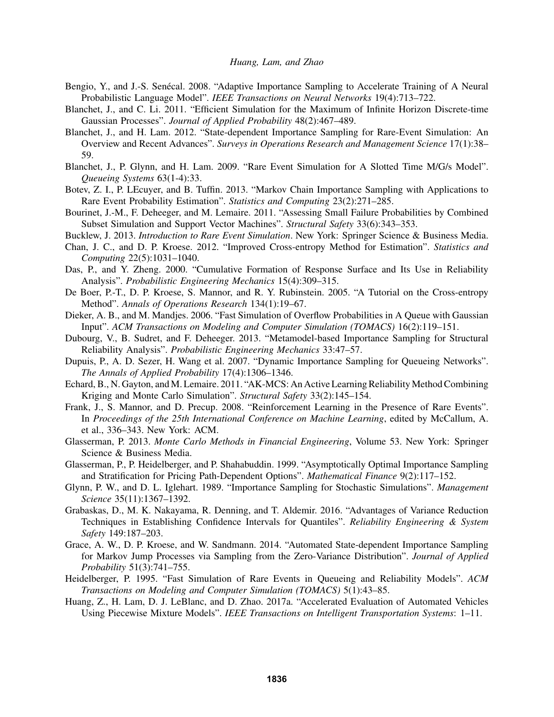- Bengio, Y., and J.-S. Senécal. 2008. "Adaptive Importance Sampling to Accelerate Training of A Neural Probabilistic Language Model". *IEEE Transactions on Neural Networks* 19(4):713–722.
- Blanchet, J., and C. Li. 2011. "Efficient Simulation for the Maximum of Infinite Horizon Discrete-time Gaussian Processes". *Journal of Applied Probability* 48(2):467–489.
- Blanchet, J., and H. Lam. 2012. "State-dependent Importance Sampling for Rare-Event Simulation: An Overview and Recent Advances". *Surveys in Operations Research and Management Science* 17(1):38– 59.
- Blanchet, J., P. Glynn, and H. Lam. 2009. "Rare Event Simulation for A Slotted Time M/G/s Model". *Queueing Systems* 63(1-4):33.
- Botev, Z. I., P. LEcuyer, and B. Tuffin. 2013. "Markov Chain Importance Sampling with Applications to Rare Event Probability Estimation". *Statistics and Computing* 23(2):271–285.
- Bourinet, J.-M., F. Deheeger, and M. Lemaire. 2011. "Assessing Small Failure Probabilities by Combined Subset Simulation and Support Vector Machines". *Structural Safety* 33(6):343–353.
- Bucklew, J. 2013. *Introduction to Rare Event Simulation*. New York: Springer Science & Business Media.
- Chan, J. C., and D. P. Kroese. 2012. "Improved Cross-entropy Method for Estimation". *Statistics and Computing* 22(5):1031–1040.
- Das, P., and Y. Zheng. 2000. "Cumulative Formation of Response Surface and Its Use in Reliability Analysis". *Probabilistic Engineering Mechanics* 15(4):309–315.
- De Boer, P.-T., D. P. Kroese, S. Mannor, and R. Y. Rubinstein. 2005. "A Tutorial on the Cross-entropy Method". *Annals of Operations Research* 134(1):19–67.
- Dieker, A. B., and M. Mandjes. 2006. "Fast Simulation of Overflow Probabilities in A Queue with Gaussian Input". *ACM Transactions on Modeling and Computer Simulation (TOMACS)* 16(2):119–151.
- Dubourg, V., B. Sudret, and F. Deheeger. 2013. "Metamodel-based Importance Sampling for Structural Reliability Analysis". *Probabilistic Engineering Mechanics* 33:47–57.
- Dupuis, P., A. D. Sezer, H. Wang et al. 2007. "Dynamic Importance Sampling for Queueing Networks". *The Annals of Applied Probability* 17(4):1306–1346.
- Echard, B., N. Gayton, and M. Lemaire. 2011. "AK-MCS: An Active Learning Reliability Method Combining Kriging and Monte Carlo Simulation". *Structural Safety* 33(2):145–154.
- Frank, J., S. Mannor, and D. Precup. 2008. "Reinforcement Learning in the Presence of Rare Events". In *Proceedings of the 25th International Conference on Machine Learning*, edited by McCallum, A. et al., 336–343. New York: ACM.
- Glasserman, P. 2013. *Monte Carlo Methods in Financial Engineering*, Volume 53. New York: Springer Science & Business Media.
- Glasserman, P., P. Heidelberger, and P. Shahabuddin. 1999. "Asymptotically Optimal Importance Sampling and Stratification for Pricing Path-Dependent Options". *Mathematical Finance* 9(2):117–152.
- Glynn, P. W., and D. L. Iglehart. 1989. "Importance Sampling for Stochastic Simulations". *Management Science* 35(11):1367–1392.
- Grabaskas, D., M. K. Nakayama, R. Denning, and T. Aldemir. 2016. "Advantages of Variance Reduction Techniques in Establishing Confidence Intervals for Quantiles". *Reliability Engineering & System Safety* 149:187–203.
- Grace, A. W., D. P. Kroese, and W. Sandmann. 2014. "Automated State-dependent Importance Sampling for Markov Jump Processes via Sampling from the Zero-Variance Distribution". *Journal of Applied Probability* 51(3):741–755.
- Heidelberger, P. 1995. "Fast Simulation of Rare Events in Queueing and Reliability Models". *ACM Transactions on Modeling and Computer Simulation (TOMACS)* 5(1):43–85.
- Huang, Z., H. Lam, D. J. LeBlanc, and D. Zhao. 2017a. "Accelerated Evaluation of Automated Vehicles Using Piecewise Mixture Models". *IEEE Transactions on Intelligent Transportation Systems*: 1–11.